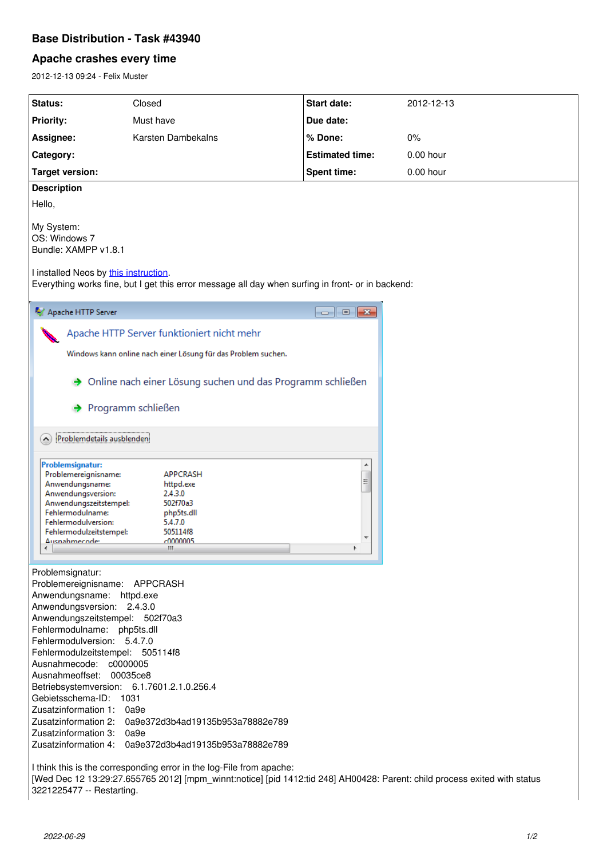## **Base Distribution - Task #43940**

## **Apache crashes every time**

2012-12-13 09:24 - Felix Muster

| <b>Status:</b>                                                                                                                                                                                                                                                                                                                                                                                                                                                                                                                                                                                                                                                                                          | Closed             | <b>Start date:</b>     | 2012-12-13  |
|---------------------------------------------------------------------------------------------------------------------------------------------------------------------------------------------------------------------------------------------------------------------------------------------------------------------------------------------------------------------------------------------------------------------------------------------------------------------------------------------------------------------------------------------------------------------------------------------------------------------------------------------------------------------------------------------------------|--------------------|------------------------|-------------|
| <b>Priority:</b>                                                                                                                                                                                                                                                                                                                                                                                                                                                                                                                                                                                                                                                                                        | Must have          | Due date:              |             |
| Assignee:                                                                                                                                                                                                                                                                                                                                                                                                                                                                                                                                                                                                                                                                                               | Karsten Dambekalns | % Done:                | 0%          |
| Category:                                                                                                                                                                                                                                                                                                                                                                                                                                                                                                                                                                                                                                                                                               |                    | <b>Estimated time:</b> | $0.00$ hour |
| <b>Target version:</b>                                                                                                                                                                                                                                                                                                                                                                                                                                                                                                                                                                                                                                                                                  |                    | <b>Spent time:</b>     | 0.00 hour   |
| <b>Description</b>                                                                                                                                                                                                                                                                                                                                                                                                                                                                                                                                                                                                                                                                                      |                    |                        |             |
| Hello,                                                                                                                                                                                                                                                                                                                                                                                                                                                                                                                                                                                                                                                                                                  |                    |                        |             |
| My System:<br>OS: Windows 7<br>Bundle: XAMPP v1.8.1                                                                                                                                                                                                                                                                                                                                                                                                                                                                                                                                                                                                                                                     |                    |                        |             |
| I installed Neos by this instruction.<br>Everything works fine, but I get this error message all day when surfing in front- or in backend:                                                                                                                                                                                                                                                                                                                                                                                                                                                                                                                                                              |                    |                        |             |
| Apache HTTP Server                                                                                                                                                                                                                                                                                                                                                                                                                                                                                                                                                                                                                                                                                      |                    |                        |             |
| Apache HTTP Server funktioniert nicht mehr                                                                                                                                                                                                                                                                                                                                                                                                                                                                                                                                                                                                                                                              |                    |                        |             |
| Windows kann online nach einer Lösung für das Problem suchen.                                                                                                                                                                                                                                                                                                                                                                                                                                                                                                                                                                                                                                           |                    |                        |             |
|                                                                                                                                                                                                                                                                                                                                                                                                                                                                                                                                                                                                                                                                                                         |                    |                        |             |
| Online nach einer Lösung suchen und das Programm schließen                                                                                                                                                                                                                                                                                                                                                                                                                                                                                                                                                                                                                                              |                    |                        |             |
| Programm schließen                                                                                                                                                                                                                                                                                                                                                                                                                                                                                                                                                                                                                                                                                      |                    |                        |             |
| Problemdetails ausblenden<br>$\sim$                                                                                                                                                                                                                                                                                                                                                                                                                                                                                                                                                                                                                                                                     |                    |                        |             |
| Problemsignatur:<br>Problemereignisname:<br><b>APPCRASH</b><br>$\begin{array}{c} \rule{0pt}{2.5ex} \rule{0pt}{2.5ex} \rule{0pt}{2.5ex} \rule{0pt}{2.5ex} \rule{0pt}{2.5ex} \rule{0pt}{2.5ex} \rule{0pt}{2.5ex} \rule{0pt}{2.5ex} \rule{0pt}{2.5ex} \rule{0pt}{2.5ex} \rule{0pt}{2.5ex} \rule{0pt}{2.5ex} \rule{0pt}{2.5ex} \rule{0pt}{2.5ex} \rule{0pt}{2.5ex} \rule{0pt}{2.5ex} \rule{0pt}{2.5ex} \rule{0pt}{2.5ex} \rule{0pt}{2.5ex} \rule{0$<br>Anwendungsname:<br>httpd.exe<br>Anwendungsversion:<br>2.4.3.0<br>Anwendungszeitstempel:<br>502f70a3<br>Fehlermodulname:<br>php5ts.dll<br>Fehlermodulversion:<br>5.4.7.0<br>505114f8<br>Fehlermodulzeitstempel:<br>connous<br>Ausnahmeroder<br>Ш<br>∢ |                    |                        |             |
| Problemsignatur:<br>Problemereignisname: APPCRASH<br>Anwendungsname: httpd.exe<br>Anwendungsversion: 2.4.3.0<br>Anwendungszeitstempel: 502f70a3<br>Fehlermodulname: php5ts.dll<br>Fehlermodulversion: 5.4.7.0<br>Fehlermodulzeitstempel: 505114f8<br>Ausnahmecode: c0000005<br>Ausnahmeoffset: 00035ce8<br>Betriebsystemversion: 6.1.7601.2.1.0.256.4<br>Gebietsschema-ID: 1031<br>Zusatzinformation 1:<br>0a9e<br>Zusatzinformation 2: 0a9e372d3b4ad19135b953a78882e789<br>Zusatzinformation 3: 0a9e<br>Zusatzinformation 4:<br>0a9e372d3b4ad19135b953a78882e789                                                                                                                                       |                    |                        |             |
| I think this is the corresponding error in the log-File from apache:<br>[Wed Dec 12 13:29:27.655765 2012] [mpm_winnt:notice] [pid 1412:tid 248] AH00428: Parent: child process exited with status<br>3221225477 -- Restarting.                                                                                                                                                                                                                                                                                                                                                                                                                                                                          |                    |                        |             |